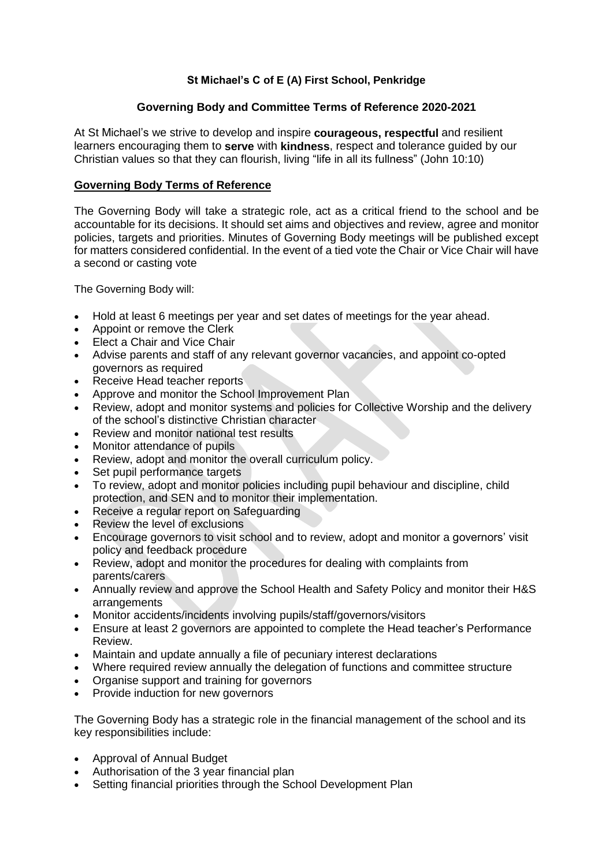# **St Michael's C of E (A) First School, Penkridge**

# **Governing Body and Committee Terms of Reference 2020-2021**

At St Michael's we strive to develop and inspire **courageous, respectful** and resilient learners encouraging them to **serve** with **kindness**, respect and tolerance guided by our Christian values so that they can flourish, living "life in all its fullness" (John 10:10)

## **Governing Body Terms of Reference**

The Governing Body will take a strategic role, act as a critical friend to the school and be accountable for its decisions. It should set aims and objectives and review, agree and monitor policies, targets and priorities. Minutes of Governing Body meetings will be published except for matters considered confidential. In the event of a tied vote the Chair or Vice Chair will have a second or casting vote

The Governing Body will:

- Hold at least 6 meetings per year and set dates of meetings for the year ahead.
- Appoint or remove the Clerk
- Elect a Chair and Vice Chair
- Advise parents and staff of any relevant governor vacancies, and appoint co-opted governors as required
- Receive Head teacher reports
- Approve and monitor the School Improvement Plan
- Review, adopt and monitor systems and policies for Collective Worship and the delivery of the school's distinctive Christian character
- Review and monitor national test results
- Monitor attendance of pupils
- Review, adopt and monitor the overall curriculum policy.
- Set pupil performance targets
- To review, adopt and monitor policies including pupil behaviour and discipline, child protection, and SEN and to monitor their implementation.
- Receive a regular report on Safeguarding
- Review the level of exclusions
- Encourage governors to visit school and to review, adopt and monitor a governors' visit policy and feedback procedure
- Review, adopt and monitor the procedures for dealing with complaints from parents/carers
- Annually review and approve the School Health and Safety Policy and monitor their H&S arrangements
- Monitor accidents/incidents involving pupils/staff/governors/visitors
- Ensure at least 2 governors are appointed to complete the Head teacher's Performance Review.
- Maintain and update annually a file of pecuniary interest declarations
- Where required review annually the delegation of functions and committee structure
- Organise support and training for governors
- Provide induction for new governors

The Governing Body has a strategic role in the financial management of the school and its key responsibilities include:

- Approval of Annual Budget
- Authorisation of the 3 year financial plan
- Setting financial priorities through the School Development Plan